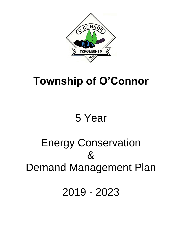

### **Township of O'Connor**

## 5 Year

# Energy Conservation & Demand Management Plan

2019 - 2023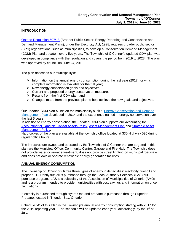#### **INTRODUCTION**

[Ontario Regulation 507/18](https://www.ontario.ca/laws/regulation/r18507) (Broader Public Sector: Energy Reporting and Conservation and Demand Management Plans), under the Electricity Act, 1998, requires broader public sector (BPS) organizations, such as municipalities, to develop a Conservation Demand Management (CDM) Plan and update it every five years. The Township of O'Connor's updated CDM plan was developed in compliance with the regulation and covers the period from 2019 to 2023. The plan was approved by council on June 24, 2019.

The plan describes our municipality's:

- $\triangleright$  Information on the annual energy consumption during the last year (2017) for which complete information is available for the full year;
- ➢ New energy conservation goals and objectives;
- ➢ Current and proposed energy conservation measures;
- ➢ Results from the first CDM plan; and
- $\triangleright$  Changes made from the previous plan to help achieve the new goals and objectives.

Our updated CDM plan builds on the municipality's initial [Energy Conservation and Demand](Energy%20Consumption%20and%20Demand%20Management%20Plan.pdf)  [Management Plan](Energy%20Consumption%20and%20Demand%20Management%20Plan.pdf) developed in 2014 and the experience gained in energy conservation over the last 5 years.

In addition to energy conservation, the updated CDM plan supports our Accounting for **[Accounting for Tangible Capital Assets](../../../Council/Policies/4%20-%20Administration/4.15%20Tangible%20Capital%20Assets.pdf) Policy, [Asset Management Plan](../../../Asset%20Management/Asset%20Management%20Plan/Asset%20Management%20Plan%20-%20O) and Strategic Asset** [Management Policy.](../../../Council/Policies/4%20-%20Administration/4.23%20Strategic%20Asset%20Management%20Policy%20.pdf)

Hard copies of the plan are available at the township office located at 330 Highway 595 during regular office hours.

The infrastructure owned and operated by the Township of O'Connor that are targeted in this plan are the Municipal Office, Community Centre, Garage and Fire Hall. The Township does not provide water or sewage treatment, does not provide street lighting on municipal roadways and does not own or operate renewable energy generation facilities.

#### **ANNUAL ENERGY CONSUMPTION**

The Township of O'Connor utilizes three types of energy in its facilities: electricity, fuel oil and propane. Currently fuel oil is purchased through the Local Authority Services' (LAS) bulk purchase program. LAS is a subsidiary of the Association of Municipalities of Ontario (AMO) and is a program intended to provide municipalities with cost savings and information on price fluctuations.

Electricity is purchased through Hydro One and propane is purchased through Superior Propane, located in Thunder Bay, Ontario.

Schedule "A" of this Plan is the Township's annual energy consumption starting with 2017 for the 2019 reporting year. The schedule will be updated each year, accordingly, by the 1<sup>st</sup> of July.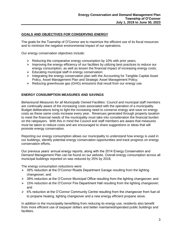#### **GOALS AND OBJECTIVES FOR CONSERVING ENERGY**

The goals for the Township of O'Connor are to maximize the efficient use of its fiscal resources and to minimize the negative environmental impact of our operations.

Our energy conservation objectives include:

- $\triangleright$  Reducing the comparative energy consumption by 10% with prior years;
- $\triangleright$  Improving the energy efficiency of our facilities by utilizing best practices to reduce our energy consumption, as well as lessen the financial impact of increasing energy costs;
- ➢ Educating municipal staff in energy conservation;
- $\triangleright$  Integrating the energy conservation plan with the Accounting for Tangible Capital Asset Policy, Asset Management Plan and Strategic Asset Management Policy;
- ➢ Reducing greenhouse gas (GHG) emissions that result from our energy use.

#### **ENERGY CONSUMPTION MEASURES AND SAVINGS**

*Behavioural Measures for all Municipally Owned Facilities:* Council and municipal staff members are continually aware of the increasing costs associated with the operation of a municipality. Budget deliberations bring to light the increasing need to conserve energy and save on energy costs as these same costs increase every year. Revenues generated through property taxation to meet the financial needs of the municipality must take into consideration the financial burden on the ratepayers. With this in mind the Council and staff members are aware that measures must be taken to reduce costs and are encouraged to share suggestions or ideas that will promote energy conservation.

Reporting our energy consumption allows our municipality to understand how energy is used in our buildings, identify potential energy conservation opportunities and track progress on energy conservation efforts.

Our previous years' annual energy reports, along with the 2014 Energy Conservation and Demand Management Plan can be found on our website. Overall energy consumption across all municipal buildings reported on was reduced by 25% by 2018.

The energy consumption reductions were:

- $\geq$  39% reduction at the O'Connor Roads Department Garage resulting from the lighting changeover; and
- $\geq$  39% reduction at the O'Connor Municipal Office resulting from the lighting changeover; and
- $\geq 15\%$  reduction at the O'Connor Fire Department Hall resulting from the lighting changeover; and
- ➢ 6% reduction at the O'Connor Community Centre resulting from the changeover from fuel oil to propane heating, lighting changeover and a new energy efficient propane stove.

In addition to the municipality benefitting from reducing its energy use, residents also benefit from more efficient use of taxpayer dollars and better maintained/operated public buildings and facilities.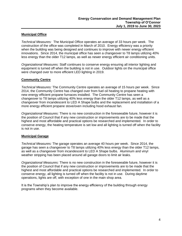#### **Municipal Office**

*Technical Measures:* The Municipal Office operates an average of 33 hours per week. The construction of the office was completed in March of 2010. Energy efficiency was a priority when the building was being designed and continues to improve with newer energy efficient innovations. Since 2014, the municipal office has seen a changeover to T8 lamps utilizing 40% less energy than the older T12 lamps, as well as newer energy efficient air conditioning units.

*Organizational Measures:* Staff continues to conserve energy ensuring all interior lighting and equipment is turned off when the building is not in use. Outdoor lights on the municipal office were changed over to more efficient LED lighting in 2019.

#### **Community Centre**

*Technical Measures:* The Community Centre operates an average of 15 hours per week. Since 2014, the Community Centre has changed over from fuel oil heating to propane heating with new energy efficient propane furnaces installed. The Community Centre has seen a changeover to T8 lamps utilizing 40% less energy than the older T12 lamps, as well as a changeover from incandescent to LED A Shape bulbs and the replacement and installation of a more energy efficient propane stove/oven including hood exhaust fan.

*Organizational Measures:* There is no new construction in the foreseeable future, however it is the position of Council that if any new construction or improvements are to be made that the highest and most affordable and practical options be researched and implemented. In order to conserve energy, the heating temperature is set low and all lighting is turned off when the facility is not in use.

#### **Municipal Garage**

*Technical Measures:* The garage operates an average 40 hours per week. Since 2014, the garage has seen a changeover to T8 lamps utilizing 40% less energy than the older T12 lamps, as well as a changeover from incandescent to LED A Shape bulbs. Aluminum and vinyl weather stripping has been placed around all garage doors to limit air leaks.

*Organizational Measures:* There is no new construction in the foreseeable future, however it is the position of Council that if any new construction or improvements are to be made that the highest and most affordable and practical options be researched and implemented. In order to conserve energy, all lighting is turned off when the facility is not in use. During daytime operations, lights are off, with exception of one in the main shop area.

It is the Township's plan to improve the energy efficiency of the building through energy programs when they become available.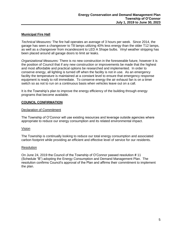#### **Municipal Fire Hall**

*Technical Measures:* The fire hall operates an average of 3 hours per week. Since 2014, the garage has seen a changeover to T8 lamps utilizing 40% less energy than the older T12 lamps, as well as a changeover from incandescent to LED A Shape bulbs. Vinyl weather stripping has been placed around all garage doors to limit air leaks.

*Organizational Measures:* There is no new construction in the foreseeable future, however it is the position of Council that if any new construction or improvements be made that the highest and most affordable and practical options be researched and implemented. In order to conserve energy, all lighting is turned off when the facility is not in use. As an emergency facility the temperature is maintained at a constant level to ensure that emergency response equipment is ready to roll immediate. To conserve energy the air exhaust fan is on a timer switch so as not to run on a continuous basis when vehicles leave out on a call.

It is the Township's plan to improve the energy efficiency of the building through energy programs that become available.

#### **COUNCIL CONFIRMATION**

#### Declaration of Commitment

The Township of O'Connor will use existing resources and leverage outside agencies where appropriate to reduce our energy consumption and its related environmental impact.

#### Vision

The Township is continually looking to reduce our total energy consumption and associated carbon footprint while providing an efficient and effective level of service for our residents.

#### **Resolution**

On June 24, 2019 the Council of the Township of O'Connor passed resolution # 11 (Schedule "B") adopting the Energy Consumption and Demand Management Plan. The resolution confirms Council's approval of the Plan and affirms their commitment to implement the plan.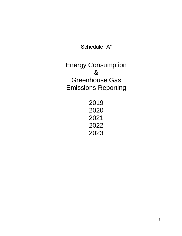Schedule "A"

Energy Consumption & Greenhouse Gas Emissions Reporting